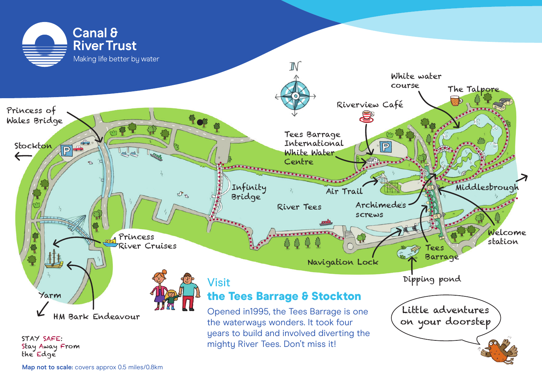

**Map not to scale:** covers approx 0.5 miles/0.8km